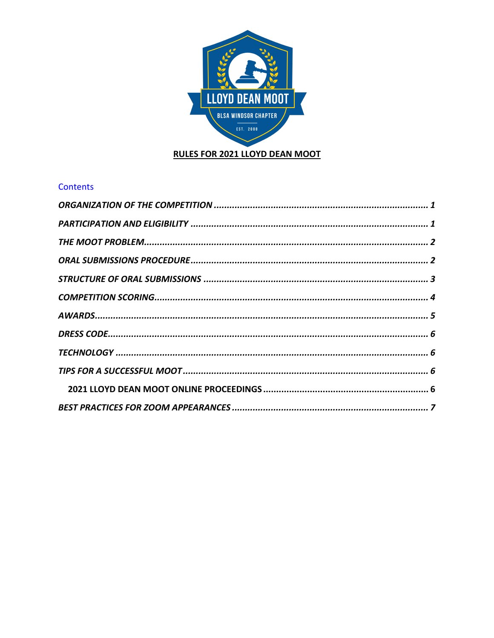

## **Contents**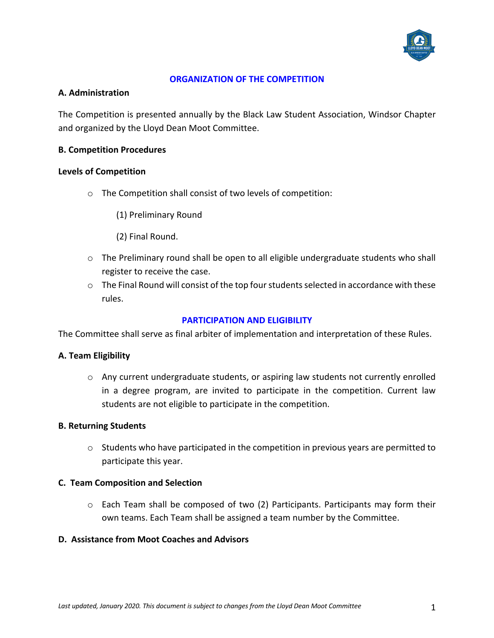

### **ORGANIZATION OF THE COMPETITION**

### **A. Administration**

The Competition is presented annually by the Black Law Student Association, Windsor Chapter and organized by the Lloyd Dean Moot Committee.

### **B. Competition Procedures**

### **Levels of Competition**

- o The Competition shall consist of two levels of competition:
	- (1) Preliminary Round
	- (2) Final Round.
- o The Preliminary round shall be open to all eligible undergraduate students who shall register to receive the case.
- $\circ$  The Final Round will consist of the top four students selected in accordance with these rules.

## **PARTICIPATION AND ELIGIBILITY**

The Committee shall serve as final arbiter of implementation and interpretation of these Rules.

#### **A. Team Eligibility**

 $\circ$  Any current undergraduate students, or aspiring law students not currently enrolled in a degree program, are invited to participate in the competition. Current law students are not eligible to participate in the competition.

#### **B. Returning Students**

o Students who have participated in the competition in previous years are permitted to participate this year.

#### **C. Team Composition and Selection**

o Each Team shall be composed of two (2) Participants. Participants may form their own teams. Each Team shall be assigned a team number by the Committee.

#### **D. Assistance from Moot Coaches and Advisors**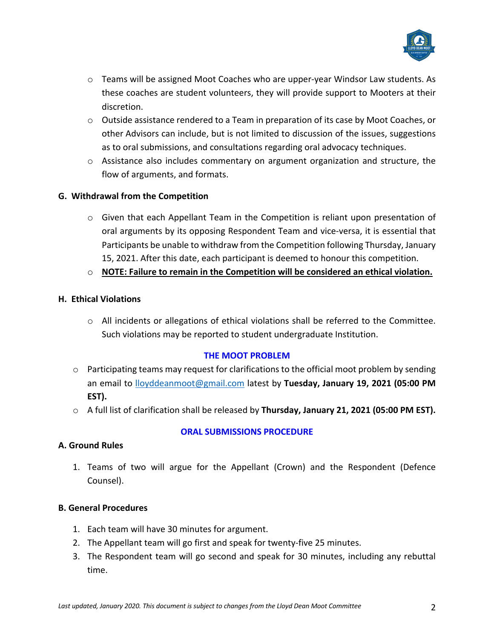

- o Teams will be assigned Moot Coaches who are upper-year Windsor Law students. As these coaches are student volunteers, they will provide support to Mooters at their discretion.
- $\circ$  Outside assistance rendered to a Team in preparation of its case by Moot Coaches, or other Advisors can include, but is not limited to discussion of the issues, suggestions as to oral submissions, and consultations regarding oral advocacy techniques.
- $\circ$  Assistance also includes commentary on argument organization and structure, the flow of arguments, and formats.

# **G. Withdrawal from the Competition**

- $\circ$  Given that each Appellant Team in the Competition is reliant upon presentation of oral arguments by its opposing Respondent Team and vice-versa, it is essential that Participants be unable to withdraw from the Competition following Thursday, January 15, 2021. After this date, each participant is deemed to honour this competition.
- o **NOTE: Failure to remain in the Competition will be considered an ethical violation.**

# **H. Ethical Violations**

o All incidents or allegations of ethical violations shall be referred to the Committee. Such violations may be reported to student undergraduate Institution.

## **THE MOOT PROBLEM**

- $\circ$  Participating teams may request for clarifications to the official moot problem by sending an email to lloyddeanmoot@gmail.com latest by **Tuesday, January 19, 2021 (05:00 PM EST).**
- o A full list of clarification shall be released by **Thursday, January 21, 2021 (05:00 PM EST).**

## **A. Ground Rules**

# **ORAL SUBMISSIONS PROCEDURE**

1. Teams of two will argue for the Appellant (Crown) and the Respondent (Defence Counsel).

## **B. General Procedures**

- 1. Each team will have 30 minutes for argument.
- 2. The Appellant team will go first and speak for twenty-five 25 minutes.
- 3. The Respondent team will go second and speak for 30 minutes, including any rebuttal time.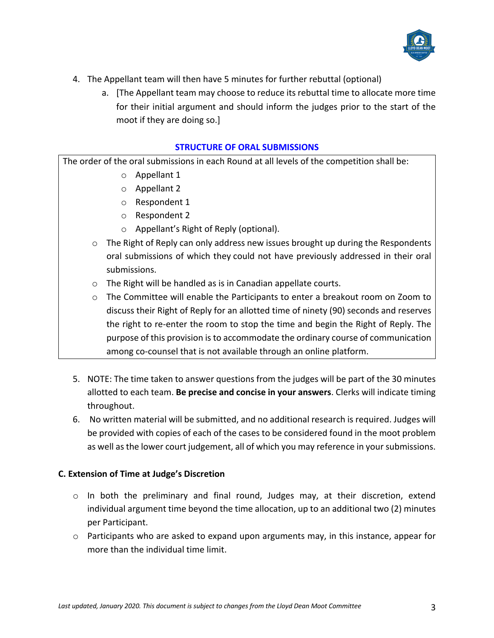

- 4. The Appellant team will then have 5 minutes for further rebuttal (optional)
	- a. [The Appellant team may choose to reduce its rebuttal time to allocate more time for their initial argument and should inform the judges prior to the start of the moot if they are doing so.]

#### **STRUCTURE OF ORAL SUBMISSIONS**

The order of the oral submissions in each Round at all levels of the competition shall be:

- o Appellant 1
- o Appellant 2
- o Respondent 1
- o Respondent 2
- o Appellant's Right of Reply (optional).
- $\circ$  The Right of Reply can only address new issues brought up during the Respondents oral submissions of which they could not have previously addressed in their oral submissions.
- o The Right will be handled as is in Canadian appellate courts.
- o The Committee will enable the Participants to enter a breakout room on Zoom to discuss their Right of Reply for an allotted time of ninety (90) seconds and reserves the right to re-enter the room to stop the time and begin the Right of Reply. The purpose of this provision is to accommodate the ordinary course of communication among co-counsel that is not available through an online platform.
- 5. NOTE: The time taken to answer questions from the judges will be part of the 30 minutes allotted to each team. **Be precise and concise in your answers**. Clerks will indicate timing throughout.
- 6. No written material will be submitted, and no additional research is required. Judges will be provided with copies of each of the cases to be considered found in the moot problem as well as the lower court judgement, all of which you may reference in your submissions.

## **C. Extension of Time at Judge's Discretion**

- $\circ$  In both the preliminary and final round, Judges may, at their discretion, extend individual argument time beyond the time allocation, up to an additional two (2) minutes per Participant.
- $\circ$  Participants who are asked to expand upon arguments may, in this instance, appear for more than the individual time limit.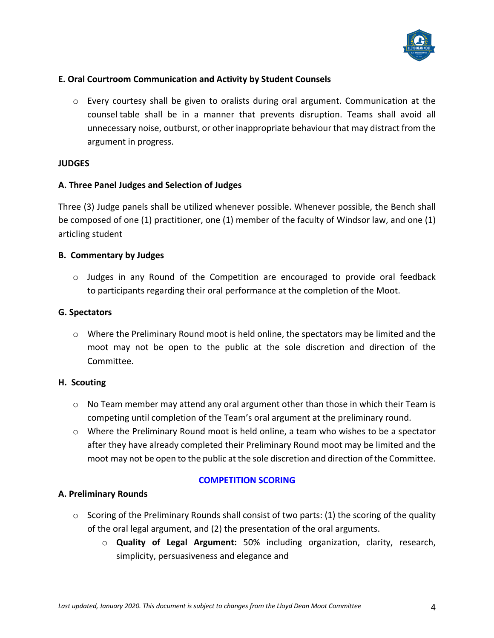

## **E. Oral Courtroom Communication and Activity by Student Counsels**

 $\circ$  Every courtesy shall be given to oralists during oral argument. Communication at the counsel table shall be in a manner that prevents disruption. Teams shall avoid all unnecessary noise, outburst, or other inappropriate behaviour that may distract from the argument in progress.

### **JUDGES**

### **A. Three Panel Judges and Selection of Judges**

Three (3) Judge panels shall be utilized whenever possible. Whenever possible, the Bench shall be composed of one (1) practitioner, one (1) member of the faculty of Windsor law, and one (1) articling student

### **B. Commentary by Judges**

o Judges in any Round of the Competition are encouraged to provide oral feedback to participants regarding their oral performance at the completion of the Moot.

### **G. Spectators**

 $\circ$  Where the Preliminary Round moot is held online, the spectators may be limited and the moot may not be open to the public at the sole discretion and direction of the Committee.

#### **H. Scouting**

- $\circ$  No Team member may attend any oral argument other than those in which their Team is competing until completion of the Team's oral argument at the preliminary round.
- $\circ$  Where the Preliminary Round moot is held online, a team who wishes to be a spectator after they have already completed their Preliminary Round moot may be limited and the moot may not be open to the public at the sole discretion and direction of the Committee.

## **A. Preliminary Rounds**

## **COMPETITION SCORING**

- $\circ$  Scoring of the Preliminary Rounds shall consist of two parts: (1) the scoring of the quality of the oral legal argument, and (2) the presentation of the oral arguments.
	- o **Quality of Legal Argument:** 50% including organization, clarity, research, simplicity, persuasiveness and elegance and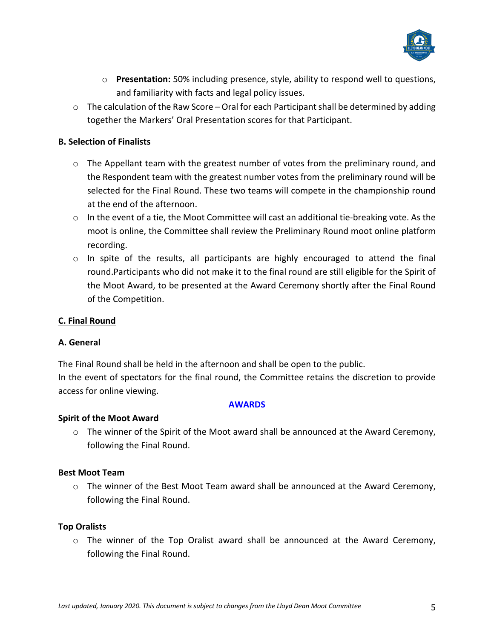

- o **Presentation:** 50% including presence, style, ability to respond well to questions, and familiarity with facts and legal policy issues.
- $\circ$  The calculation of the Raw Score Oral for each Participant shall be determined by adding together the Markers' Oral Presentation scores for that Participant.

# **B. Selection of Finalists**

- $\circ$  The Appellant team with the greatest number of votes from the preliminary round, and the Respondent team with the greatest number votes from the preliminary round will be selected for the Final Round. These two teams will compete in the championship round at the end of the afternoon.
- $\circ$  In the event of a tie, the Moot Committee will cast an additional tie-breaking vote. As the moot is online, the Committee shall review the Preliminary Round moot online platform recording.
- $\circ$  In spite of the results, all participants are highly encouraged to attend the final round.Participants who did not make it to the final round are still eligible for the Spirit of the Moot Award, to be presented at the Award Ceremony shortly after the Final Round of the Competition.

## **C. Final Round**

## **A. General**

The Final Round shall be held in the afternoon and shall be open to the public. In the event of spectators for the final round, the Committee retains the discretion to provide access for online viewing.

#### **AWARDS**

## **Spirit of the Moot Award**

 $\circ$  The winner of the Spirit of the Moot award shall be announced at the Award Ceremony, following the Final Round.

#### **Best Moot Team**

 $\circ$  The winner of the Best Moot Team award shall be announced at the Award Ceremony, following the Final Round.

## **Top Oralists**

 $\circ$  The winner of the Top Oralist award shall be announced at the Award Ceremony, following the Final Round.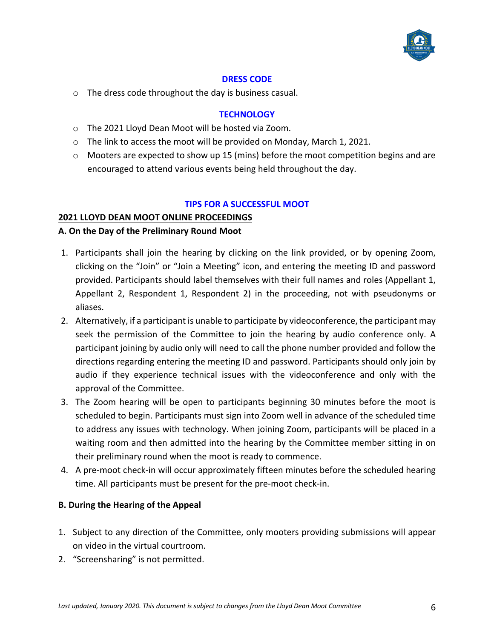

#### **DRESS CODE**

o The dress code throughout the day is business casual.

## **TECHNOLOGY**

- o The 2021 Lloyd Dean Moot will be hosted via Zoom.
- o The link to access the moot will be provided on Monday, March 1, 2021.
- o Mooters are expected to show up 15 (mins) before the moot competition begins and are encouraged to attend various events being held throughout the day.

## **TIPS FOR A SUCCESSFUL MOOT**

## **2021 LLOYD DEAN MOOT ONLINE PROCEEDINGS**

### **A. On the Day of the Preliminary Round Moot**

- 1. Participants shall join the hearing by clicking on the link provided, or by opening Zoom, clicking on the "Join" or "Join a Meeting" icon, and entering the meeting ID and password provided. Participants should label themselves with their full names and roles (Appellant 1, Appellant 2, Respondent 1, Respondent 2) in the proceeding, not with pseudonyms or aliases.
- 2. Alternatively, if a participant is unable to participate by videoconference, the participant may seek the permission of the Committee to join the hearing by audio conference only. A participant joining by audio only will need to call the phone number provided and follow the directions regarding entering the meeting ID and password. Participants should only join by audio if they experience technical issues with the videoconference and only with the approval of the Committee.
- 3. The Zoom hearing will be open to participants beginning 30 minutes before the moot is scheduled to begin. Participants must sign into Zoom well in advance of the scheduled time to address any issues with technology. When joining Zoom, participants will be placed in a waiting room and then admitted into the hearing by the Committee member sitting in on their preliminary round when the moot is ready to commence.
- 4. A pre-moot check-in will occur approximately fifteen minutes before the scheduled hearing time. All participants must be present for the pre-moot check-in.

## **B. During the Hearing of the Appeal**

- 1. Subject to any direction of the Committee, only mooters providing submissions will appear on video in the virtual courtroom.
- 2. "Screensharing" is not permitted.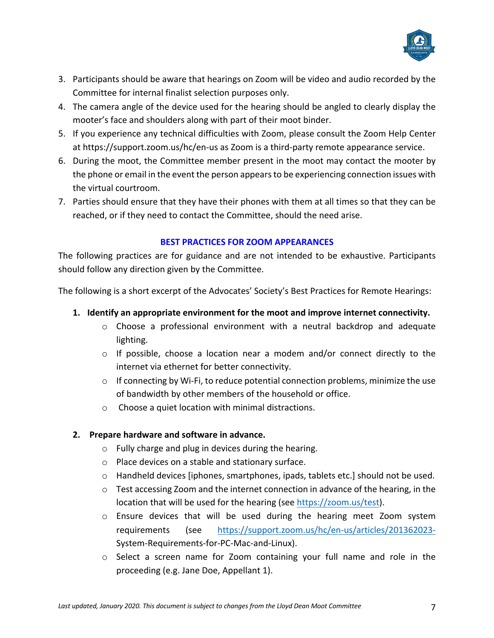

- 3. Participants should be aware that hearings on Zoom will be video and audio recorded by the Committee for internal finalist selection purposes only.
- 4. The camera angle of the device used for the hearing should be angled to clearly display the mooter's face and shoulders along with part of their moot binder.
- 5. If you experience any technical difficulties with Zoom, please consult the Zoom Help Center at https://support.zoom.us/hc/en-us as Zoom is a third-party remote appearance service.
- 6. During the moot, the Committee member present in the moot may contact the mooter by the phone or email in the event the person appears to be experiencing connection issues with the virtual courtroom.
- 7. Parties should ensure that they have their phones with them at all times so that they can be reached, or if they need to contact the Committee, should the need arise.

# **BEST PRACTICES FOR ZOOM APPEARANCES**

The following practices are for guidance and are not intended to be exhaustive. Participants should follow any direction given by the Committee.

The following is a short excerpt of the Advocates' Society's Best Practices for Remote Hearings:

- **1. Identify an appropriate environment for the moot and improve internet connectivity.**
	- $\circ$  Choose a professional environment with a neutral backdrop and adequate lighting.
	- $\circ$  If possible, choose a location near a modem and/or connect directly to the internet via ethernet for better connectivity.
	- o If connecting by Wi-Fi, to reduce potential connection problems, minimize the use of bandwidth by other members of the household or office.
	- o Choose a quiet location with minimal distractions.

# **2. Prepare hardware and software in advance.**

- o Fully charge and plug in devices during the hearing.
- o Place devices on a stable and stationary surface.
- $\circ$  Handheld devices [iphones, smartphones, ipads, tablets etc.] should not be used.
- $\circ$  Test accessing Zoom and the internet connection in advance of the hearing, in the location that will be used for the hearing (see https://zoom.us/test).
- $\circ$  Ensure devices that will be used during the hearing meet Zoom system requirements (see https://support.zoom.us/hc/en-us/articles/201362023- System-Requirements-for-PC-Mac-and-Linux).
- o Select a screen name for Zoom containing your full name and role in the proceeding (e.g. Jane Doe, Appellant 1).